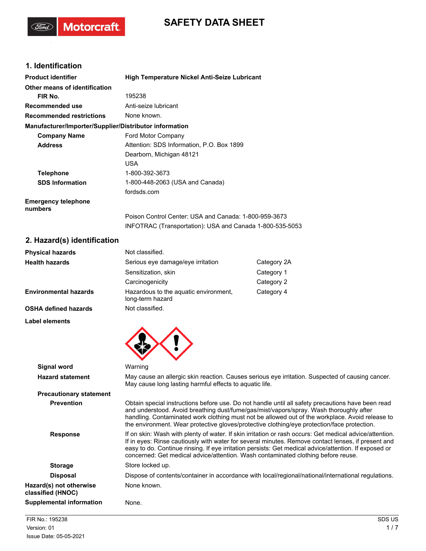# **SAFETY DATA SHEET**

# **1. Identification**

(Ford)

Motorcraft.

| <b>Product identifier</b>                              | High Temperature Nickel Anti-Seize Lubricant             |  |
|--------------------------------------------------------|----------------------------------------------------------|--|
| Other means of identification                          |                                                          |  |
| FIR No.                                                | 195238                                                   |  |
| Recommended use                                        | Anti-seize lubricant                                     |  |
| <b>Recommended restrictions</b>                        | None known.                                              |  |
| Manufacturer/Importer/Supplier/Distributor information |                                                          |  |
| <b>Company Name</b>                                    | Ford Motor Company                                       |  |
| <b>Address</b>                                         | Attention: SDS Information, P.O. Box 1899                |  |
|                                                        | Dearborn, Michigan 48121                                 |  |
|                                                        | <b>USA</b>                                               |  |
| <b>Telephone</b>                                       | 1-800-392-3673                                           |  |
| <b>SDS Information</b>                                 | 1-800-448-2063 (USA and Canada)                          |  |
|                                                        | fordsds.com                                              |  |
| <b>Emergency telephone</b><br>numbers                  |                                                          |  |
|                                                        | Poison Control Center: USA and Canada: 1-800-959-3673    |  |
|                                                        | INFOTRAC (Transportation): USA and Canada 1-800-535-5053 |  |

# **2. Hazard(s) identification**

| <b>Physical hazards</b>      | Not classified.                                           |             |
|------------------------------|-----------------------------------------------------------|-------------|
| <b>Health hazards</b>        | Serious eye damage/eye irritation                         | Category 2A |
|                              | Sensitization, skin                                       | Category 1  |
|                              | Carcinogenicity                                           | Category 2  |
| <b>Environmental hazards</b> | Hazardous to the aguatic environment,<br>long-term hazard | Category 4  |
| OSHA defined hazards         | Not classified.                                           |             |
| <b>Label elements</b>        |                                                           |             |



| Signal word                                  | Warning                                                                                                                                                                                                                                                                                                                                                                                                     |
|----------------------------------------------|-------------------------------------------------------------------------------------------------------------------------------------------------------------------------------------------------------------------------------------------------------------------------------------------------------------------------------------------------------------------------------------------------------------|
| <b>Hazard statement</b>                      | May cause an allergic skin reaction. Causes serious eye irritation. Suspected of causing cancer.<br>May cause long lasting harmful effects to aquatic life.                                                                                                                                                                                                                                                 |
| <b>Precautionary statement</b>               |                                                                                                                                                                                                                                                                                                                                                                                                             |
| <b>Prevention</b>                            | Obtain special instructions before use. Do not handle until all safety precautions have been read<br>and understood. Avoid breathing dust/fume/gas/mist/vapors/spray. Wash thoroughly after<br>handling. Contaminated work clothing must not be allowed out of the workplace. Avoid release to<br>the environment. Wear protective gloves/protective clothing/eye protection/face protection.               |
| <b>Response</b>                              | If on skin: Wash with plenty of water. If skin irritation or rash occurs: Get medical advice/attention.<br>If in eyes: Rinse cautiously with water for several minutes. Remove contact lenses, if present and<br>easy to do. Continue rinsing. If eye irritation persists: Get medical advice/attention. If exposed or<br>concerned: Get medical advice/attention. Wash contaminated clothing before reuse. |
| <b>Storage</b>                               | Store locked up.                                                                                                                                                                                                                                                                                                                                                                                            |
| <b>Disposal</b>                              | Dispose of contents/container in accordance with local/regional/national/international regulations.                                                                                                                                                                                                                                                                                                         |
| Hazard(s) not otherwise<br>classified (HNOC) | None known.                                                                                                                                                                                                                                                                                                                                                                                                 |
| Supplemental information                     | None.                                                                                                                                                                                                                                                                                                                                                                                                       |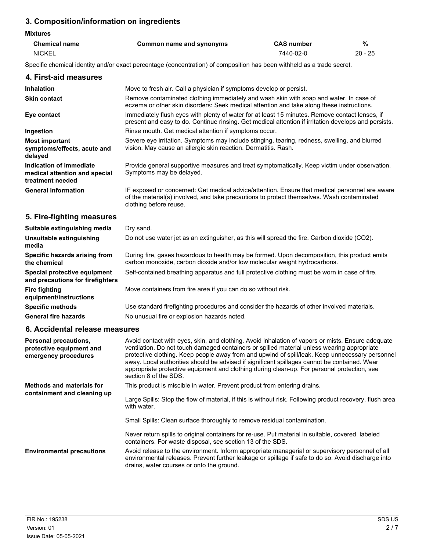# **3. Composition/information on ingredients**

| <b>Mixtures</b>      |                          |                   |           |
|----------------------|--------------------------|-------------------|-----------|
| <b>Chemical name</b> | Common name and synonyms | <b>CAS</b> number | %         |
| <b>NICKEL</b>        |                          | 7440-02-0         | $20 - 25$ |

Specific chemical identity and/or exact percentage (concentration) of composition has been withheld as a trade secret.

| 4. First-aid measures                                                        |                                                                                                                                                                                                                        |
|------------------------------------------------------------------------------|------------------------------------------------------------------------------------------------------------------------------------------------------------------------------------------------------------------------|
| <b>Inhalation</b>                                                            | Move to fresh air. Call a physician if symptoms develop or persist.                                                                                                                                                    |
| <b>Skin contact</b>                                                          | Remove contaminated clothing immediately and wash skin with soap and water. In case of<br>eczema or other skin disorders: Seek medical attention and take along these instructions.                                    |
| Eye contact                                                                  | Immediately flush eyes with plenty of water for at least 15 minutes. Remove contact lenses, if<br>present and easy to do. Continue rinsing. Get medical attention if irritation develops and persists.                 |
| Ingestion                                                                    | Rinse mouth. Get medical attention if symptoms occur.                                                                                                                                                                  |
| <b>Most important</b><br>symptoms/effects, acute and<br>delayed              | Severe eye irritation. Symptoms may include stinging, tearing, redness, swelling, and blurred<br>vision. May cause an allergic skin reaction. Dermatitis. Rash.                                                        |
| Indication of immediate<br>medical attention and special<br>treatment needed | Provide general supportive measures and treat symptomatically. Keep victim under observation.<br>Symptoms may be delayed.                                                                                              |
| <b>General information</b>                                                   | IF exposed or concerned: Get medical advice/attention. Ensure that medical personnel are aware<br>of the material(s) involved, and take precautions to protect themselves. Wash contaminated<br>clothing before reuse. |
| 5. Fire-fighting measures                                                    |                                                                                                                                                                                                                        |
| Suitable extinguishing media                                                 | Dry sand.                                                                                                                                                                                                              |

| Unsuitable extinguishing<br>media                                | Do not use water jet as an extinguisher, as this will spread the fire. Carbon dioxide (CO2).                                                                              |
|------------------------------------------------------------------|---------------------------------------------------------------------------------------------------------------------------------------------------------------------------|
| Specific hazards arising from<br>the chemical                    | During fire, gases hazardous to health may be formed. Upon decomposition, this product emits<br>carbon monoxide, carbon dioxide and/or low molecular weight hydrocarbons. |
| Special protective equipment<br>and precautions for firefighters | Self-contained breathing apparatus and full protective clothing must be worn in case of fire.                                                                             |
| Fire fighting<br>equipment/instructions                          | Move containers from fire area if you can do so without risk.                                                                                                             |
| <b>Specific methods</b>                                          | Use standard firefighting procedures and consider the hazards of other involved materials.                                                                                |
| <b>General fire hazards</b>                                      | No unusual fire or explosion hazards noted.                                                                                                                               |

## **6. Accidental release measures**

| <b>Personal precautions,</b><br>protective equipment and<br>emergency procedures | Avoid contact with eyes, skin, and clothing. Avoid inhalation of vapors or mists. Ensure adequate<br>ventilation. Do not touch damaged containers or spilled material unless wearing appropriate<br>protective clothing. Keep people away from and upwind of spill/leak. Keep unnecessary personnel<br>away. Local authorities should be advised if significant spillages cannot be contained. Wear<br>appropriate protective equipment and clothing during clean-up. For personal protection, see<br>section 8 of the SDS. |
|----------------------------------------------------------------------------------|-----------------------------------------------------------------------------------------------------------------------------------------------------------------------------------------------------------------------------------------------------------------------------------------------------------------------------------------------------------------------------------------------------------------------------------------------------------------------------------------------------------------------------|
| Methods and materials for<br>containment and cleaning up                         | This product is miscible in water. Prevent product from entering drains.<br>Large Spills: Stop the flow of material, if this is without risk. Following product recovery, flush area<br>with water.                                                                                                                                                                                                                                                                                                                         |
|                                                                                  | Small Spills: Clean surface thoroughly to remove residual contamination.                                                                                                                                                                                                                                                                                                                                                                                                                                                    |
|                                                                                  | Never return spills to original containers for re-use. Put material in suitable, covered, labeled<br>containers. For waste disposal, see section 13 of the SDS.                                                                                                                                                                                                                                                                                                                                                             |
| <b>Environmental precautions</b>                                                 | Avoid release to the environment. Inform appropriate managerial or supervisory personnel of all<br>environmental releases. Prevent further leakage or spillage if safe to do so. Avoid discharge into<br>drains, water courses or onto the ground.                                                                                                                                                                                                                                                                          |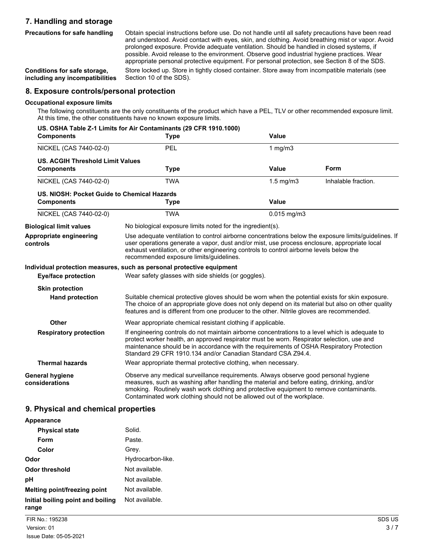# **7. Handling and storage**

**Precautions for safe handling**

Obtain special instructions before use. Do not handle until all safety precautions have been read and understood. Avoid contact with eyes, skin, and clothing. Avoid breathing mist or vapor. Avoid prolonged exposure. Provide adequate ventilation. Should be handled in closed systems, if possible. Avoid release to the environment. Observe good industrial hygiene practices. Wear appropriate personal protective equipment. For personal protection, see Section 8 of the SDS.

**Conditions for safe storage, including any incompatibilities** Store locked up. Store in tightly closed container. Store away from incompatible materials (see Section 10 of the SDS).

#### **8. Exposure controls/personal protection**

#### **Occupational exposure limits**

The following constituents are the only constituents of the product which have a PEL, TLV or other recommended exposure limit. At this time, the other constituents have no known exposure limits.

| <b>Components</b>                                            | US. OSHA Table Z-1 Limits for Air Contaminants (29 CFR 1910.1000)<br><b>Type</b>                                                                                                                                                                                                                                                                         | <b>Value</b>                                               |                     |  |
|--------------------------------------------------------------|----------------------------------------------------------------------------------------------------------------------------------------------------------------------------------------------------------------------------------------------------------------------------------------------------------------------------------------------------------|------------------------------------------------------------|---------------------|--|
| NICKEL (CAS 7440-02-0)                                       | <b>PEL</b>                                                                                                                                                                                                                                                                                                                                               | 1 $mg/m3$                                                  |                     |  |
| <b>US. ACGIH Threshold Limit Values</b><br><b>Components</b> | Type                                                                                                                                                                                                                                                                                                                                                     | Value                                                      | Form                |  |
| NICKEL (CAS 7440-02-0)                                       | <b>TWA</b>                                                                                                                                                                                                                                                                                                                                               | $1.5$ mg/m $3$                                             | Inhalable fraction. |  |
| US. NIOSH: Pocket Guide to Chemical Hazards                  |                                                                                                                                                                                                                                                                                                                                                          |                                                            |                     |  |
| <b>Components</b>                                            | <b>Type</b>                                                                                                                                                                                                                                                                                                                                              | <b>Value</b>                                               |                     |  |
| NICKEL (CAS 7440-02-0)                                       | <b>TWA</b>                                                                                                                                                                                                                                                                                                                                               | $0.015$ mg/m3                                              |                     |  |
| <b>Biological limit values</b>                               |                                                                                                                                                                                                                                                                                                                                                          | No biological exposure limits noted for the ingredient(s). |                     |  |
| Appropriate engineering<br>controls                          | Use adequate ventilation to control airborne concentrations below the exposure limits/guidelines. If<br>user operations generate a vapor, dust and/or mist, use process enclosure, appropriate local<br>exhaust ventilation, or other engineering controls to control airborne levels below the<br>recommended exposure limits/guidelines.               |                                                            |                     |  |
|                                                              | Individual protection measures, such as personal protective equipment                                                                                                                                                                                                                                                                                    |                                                            |                     |  |
| <b>Eye/face protection</b>                                   | Wear safety glasses with side shields (or goggles).                                                                                                                                                                                                                                                                                                      |                                                            |                     |  |
| <b>Skin protection</b>                                       |                                                                                                                                                                                                                                                                                                                                                          |                                                            |                     |  |
| <b>Hand protection</b>                                       | Suitable chemical protective gloves should be worn when the potential exists for skin exposure.<br>The choice of an appropriate glove does not only depend on its material but also on other quality<br>features and is different from one producer to the other. Nitrile gloves are recommended.                                                        |                                                            |                     |  |
| <b>Other</b>                                                 | Wear appropriate chemical resistant clothing if applicable.                                                                                                                                                                                                                                                                                              |                                                            |                     |  |
| <b>Respiratory protection</b>                                | If engineering controls do not maintain airborne concentrations to a level which is adequate to<br>protect worker health, an approved respirator must be worn. Respirator selection, use and<br>maintenance should be in accordance with the requirements of OSHA Respiratory Protection<br>Standard 29 CFR 1910.134 and/or Canadian Standard CSA Z94.4. |                                                            |                     |  |
| <b>Thermal hazards</b>                                       | Wear appropriate thermal protective clothing, when necessary.                                                                                                                                                                                                                                                                                            |                                                            |                     |  |
| General hygiene<br>considerations                            | Observe any medical surveillance requirements. Always observe good personal hygiene<br>measures, such as washing after handling the material and before eating, drinking, and/or<br>smoking. Routinely wash work clothing and protective equipment to remove contaminants.<br>Contaminated work clothing should not be allowed out of the workplace.     |                                                            |                     |  |

#### **9. Physical and chemical properties**

| Appearance                                 |                   |
|--------------------------------------------|-------------------|
| <b>Physical state</b>                      | Solid.            |
| Form                                       | Paste.            |
| Color                                      | Grev.             |
| Odor                                       | Hydrocarbon-like. |
| Odor threshold                             | Not available.    |
| рH                                         | Not available.    |
| Melting point/freezing point               | Not available.    |
| Initial boiling point and boiling<br>range | Not available.    |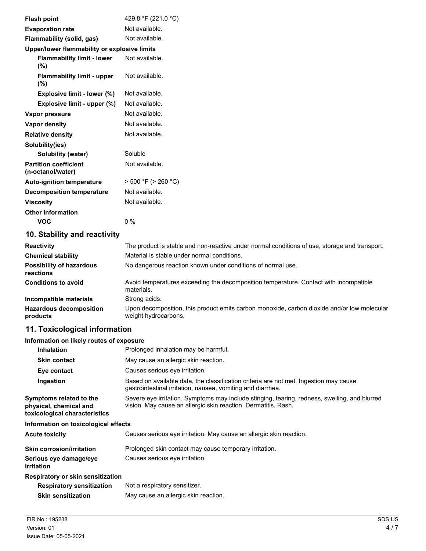| <b>Flash point</b>                                | 429.8 °F (221.0 °C)                                                                                 |
|---------------------------------------------------|-----------------------------------------------------------------------------------------------------|
| <b>Evaporation rate</b>                           | Not available.                                                                                      |
| Flammability (solid, gas)                         | Not available.                                                                                      |
| Upper/lower flammability or explosive limits      |                                                                                                     |
| <b>Flammability limit - lower</b><br>(%)          | Not available.                                                                                      |
| <b>Flammability limit - upper</b><br>(%)          | Not available.                                                                                      |
| Explosive limit - lower (%)                       | Not available.                                                                                      |
| Explosive limit - upper (%)                       | Not available.                                                                                      |
| Vapor pressure                                    | Not available.                                                                                      |
| <b>Vapor density</b>                              | Not available.                                                                                      |
| <b>Relative density</b>                           | Not available.                                                                                      |
| Solubility(ies)                                   |                                                                                                     |
| Solubility (water)                                | Soluble                                                                                             |
| <b>Partition coefficient</b><br>(n-octanol/water) | Not available.                                                                                      |
| <b>Auto-ignition temperature</b>                  | $>$ 500 °F ( $>$ 260 °C)                                                                            |
| <b>Decomposition temperature</b>                  | Not available.                                                                                      |
| <b>Viscosity</b>                                  | Not available.                                                                                      |
| <b>Other information</b>                          |                                                                                                     |
| <b>VOC</b>                                        | 0%                                                                                                  |
| 10. Stability and reactivity                      |                                                                                                     |
| <b>Reactivity</b>                                 | The product is stable and non-reactive under normal conditions of use, storage and transport.       |
| <b>Chemical stability</b>                         | Material is stable under normal conditions.                                                         |
| <b>Possibility of hazardous</b><br>reactions      | No dangerous reaction known under conditions of normal use.                                         |
| <b>Conditions to avoid</b>                        | Avoid temperatures exceeding the decomposition temperature. Contact with incompatible<br>materials. |

**Incompatible materials** Strong acids. Upon decomposition, this product emits carbon monoxide, carbon dioxide and/or low molecular weight hydrocarbons. **Hazardous decomposition products**

## **11. Toxicological information**

### **Information on likely routes of exposure**

| <b>Inhalation</b>                                                                  | Prolonged inhalation may be harmful.                                                                                                                            |  |  |
|------------------------------------------------------------------------------------|-----------------------------------------------------------------------------------------------------------------------------------------------------------------|--|--|
| <b>Skin contact</b>                                                                | May cause an allergic skin reaction.                                                                                                                            |  |  |
| Eye contact                                                                        | Causes serious eye irritation.                                                                                                                                  |  |  |
| Ingestion                                                                          | Based on available data, the classification criteria are not met. Ingestion may cause<br>gastrointestinal irritation, nausea, vomiting and diarrhea.            |  |  |
| Symptoms related to the<br>physical, chemical and<br>toxicological characteristics | Severe eye irritation. Symptoms may include stinging, tearing, redness, swelling, and blurred<br>vision. May cause an allergic skin reaction. Dermatitis. Rash. |  |  |
| Information on toxicological effects                                               |                                                                                                                                                                 |  |  |
| <b>Acute toxicity</b>                                                              | Causes serious eye irritation. May cause an allergic skin reaction.                                                                                             |  |  |
| <b>Skin corrosion/irritation</b>                                                   | Prolonged skin contact may cause temporary irritation.                                                                                                          |  |  |
| Serious eye damage/eye<br>irritation                                               | Causes serious eye irritation.                                                                                                                                  |  |  |
| Respiratory or skin sensitization                                                  |                                                                                                                                                                 |  |  |
| <b>Respiratory sensitization</b>                                                   | Not a respiratory sensitizer.                                                                                                                                   |  |  |
| <b>Skin sensitization</b>                                                          | May cause an allergic skin reaction.                                                                                                                            |  |  |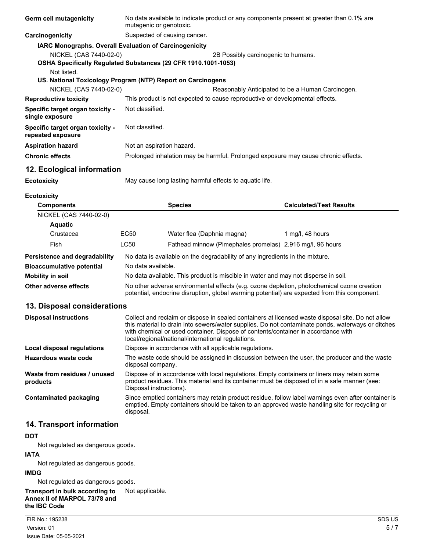| Germ cell mutagenicity                                                                               | No data available to indicate product or any components present at greater than 0.1% are<br>mutagenic or genotoxic.                                                                                                    |                                                                                                                                                                                                     |                                                                                                                                                                                                                                                                                             |  |
|------------------------------------------------------------------------------------------------------|------------------------------------------------------------------------------------------------------------------------------------------------------------------------------------------------------------------------|-----------------------------------------------------------------------------------------------------------------------------------------------------------------------------------------------------|---------------------------------------------------------------------------------------------------------------------------------------------------------------------------------------------------------------------------------------------------------------------------------------------|--|
| Carcinogenicity                                                                                      |                                                                                                                                                                                                                        | Suspected of causing cancer.                                                                                                                                                                        |                                                                                                                                                                                                                                                                                             |  |
| IARC Monographs. Overall Evaluation of Carcinogenicity                                               |                                                                                                                                                                                                                        |                                                                                                                                                                                                     |                                                                                                                                                                                                                                                                                             |  |
| NICKEL (CAS 7440-02-0)<br>OSHA Specifically Regulated Substances (29 CFR 1910.1001-1053)             |                                                                                                                                                                                                                        |                                                                                                                                                                                                     | 2B Possibly carcinogenic to humans.                                                                                                                                                                                                                                                         |  |
| Not listed.<br>US. National Toxicology Program (NTP) Report on Carcinogens<br>NICKEL (CAS 7440-02-0) |                                                                                                                                                                                                                        |                                                                                                                                                                                                     |                                                                                                                                                                                                                                                                                             |  |
| <b>Reproductive toxicity</b>                                                                         |                                                                                                                                                                                                                        | This product is not expected to cause reproductive or developmental effects.                                                                                                                        | Reasonably Anticipated to be a Human Carcinogen.                                                                                                                                                                                                                                            |  |
| Specific target organ toxicity -<br>single exposure                                                  | Not classified.                                                                                                                                                                                                        |                                                                                                                                                                                                     |                                                                                                                                                                                                                                                                                             |  |
| Specific target organ toxicity -<br>repeated exposure                                                | Not classified.                                                                                                                                                                                                        |                                                                                                                                                                                                     |                                                                                                                                                                                                                                                                                             |  |
| <b>Aspiration hazard</b>                                                                             | Not an aspiration hazard.                                                                                                                                                                                              |                                                                                                                                                                                                     |                                                                                                                                                                                                                                                                                             |  |
| <b>Chronic effects</b>                                                                               |                                                                                                                                                                                                                        |                                                                                                                                                                                                     | Prolonged inhalation may be harmful. Prolonged exposure may cause chronic effects.                                                                                                                                                                                                          |  |
| 12. Ecological information                                                                           |                                                                                                                                                                                                                        |                                                                                                                                                                                                     |                                                                                                                                                                                                                                                                                             |  |
| <b>Ecotoxicity</b>                                                                                   |                                                                                                                                                                                                                        | May cause long lasting harmful effects to aquatic life.                                                                                                                                             |                                                                                                                                                                                                                                                                                             |  |
| <b>Ecotoxicity</b>                                                                                   |                                                                                                                                                                                                                        |                                                                                                                                                                                                     |                                                                                                                                                                                                                                                                                             |  |
| <b>Components</b>                                                                                    |                                                                                                                                                                                                                        | <b>Species</b>                                                                                                                                                                                      | <b>Calculated/Test Results</b>                                                                                                                                                                                                                                                              |  |
| NICKEL (CAS 7440-02-0)                                                                               |                                                                                                                                                                                                                        |                                                                                                                                                                                                     |                                                                                                                                                                                                                                                                                             |  |
| <b>Aquatic</b>                                                                                       |                                                                                                                                                                                                                        |                                                                                                                                                                                                     |                                                                                                                                                                                                                                                                                             |  |
| Crustacea                                                                                            | EC50                                                                                                                                                                                                                   | Water flea (Daphnia magna)                                                                                                                                                                          | 1 mg/l, 48 hours                                                                                                                                                                                                                                                                            |  |
| Fish                                                                                                 | <b>LC50</b>                                                                                                                                                                                                            |                                                                                                                                                                                                     | Fathead minnow (Pimephales promelas) 2.916 mg/l, 96 hours                                                                                                                                                                                                                                   |  |
| Persistence and degradability                                                                        |                                                                                                                                                                                                                        | No data is available on the degradability of any ingredients in the mixture.                                                                                                                        |                                                                                                                                                                                                                                                                                             |  |
| <b>Bioaccumulative potential</b>                                                                     | No data available.                                                                                                                                                                                                     |                                                                                                                                                                                                     |                                                                                                                                                                                                                                                                                             |  |
| <b>Mobility in soil</b>                                                                              |                                                                                                                                                                                                                        | No data available. This product is miscible in water and may not disperse in soil.                                                                                                                  |                                                                                                                                                                                                                                                                                             |  |
| Other adverse effects                                                                                |                                                                                                                                                                                                                        | No other adverse environmental effects (e.g. ozone depletion, photochemical ozone creation<br>potential, endocrine disruption, global warming potential) are expected from this component.          |                                                                                                                                                                                                                                                                                             |  |
| 13. Disposal considerations                                                                          |                                                                                                                                                                                                                        |                                                                                                                                                                                                     |                                                                                                                                                                                                                                                                                             |  |
| <b>Disposal instructions</b>                                                                         |                                                                                                                                                                                                                        | local/regional/national/international regulations.                                                                                                                                                  | Collect and reclaim or dispose in sealed containers at licensed waste disposal site. Do not allow<br>this material to drain into sewers/water supplies. Do not contaminate ponds, waterways or ditches<br>with chemical or used container. Dispose of contents/container in accordance with |  |
| <b>Local disposal regulations</b>                                                                    |                                                                                                                                                                                                                        | Dispose in accordance with all applicable regulations.                                                                                                                                              |                                                                                                                                                                                                                                                                                             |  |
| Hazardous waste code                                                                                 |                                                                                                                                                                                                                        | The waste code should be assigned in discussion between the user, the producer and the waste<br>disposal company.                                                                                   |                                                                                                                                                                                                                                                                                             |  |
| Waste from residues / unused<br>products                                                             | Dispose of in accordance with local regulations. Empty containers or liners may retain some<br>product residues. This material and its container must be disposed of in a safe manner (see:<br>Disposal instructions). |                                                                                                                                                                                                     |                                                                                                                                                                                                                                                                                             |  |
| <b>Contaminated packaging</b>                                                                        | disposal.                                                                                                                                                                                                              | Since emptied containers may retain product residue, follow label warnings even after container is<br>emptied. Empty containers should be taken to an approved waste handling site for recycling or |                                                                                                                                                                                                                                                                                             |  |
| 14. Transport information                                                                            |                                                                                                                                                                                                                        |                                                                                                                                                                                                     |                                                                                                                                                                                                                                                                                             |  |
| <b>DOT</b>                                                                                           |                                                                                                                                                                                                                        |                                                                                                                                                                                                     |                                                                                                                                                                                                                                                                                             |  |
|                                                                                                      |                                                                                                                                                                                                                        |                                                                                                                                                                                                     |                                                                                                                                                                                                                                                                                             |  |

Not regulated as dangerous goods.

# **IATA**

Not regulated as dangerous goods.

#### **IMDG**

Not regulated as dangerous goods.

**Transport in bulk according to** Not applicable.

**Annex II of MARPOL 73/78 and the IBC Code**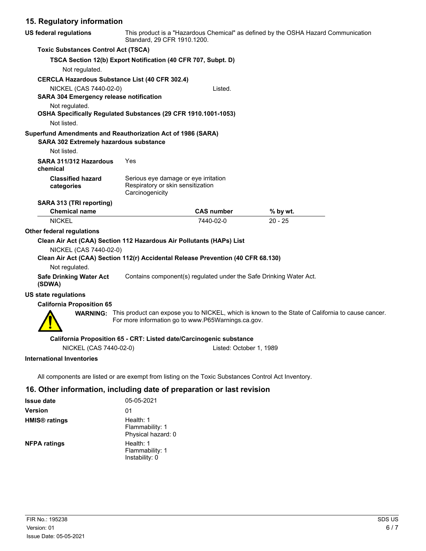## **15. Regulatory information**

| US federal regulations                                                                          |                                                      | This product is a "Hazardous Chemical" as defined by the OSHA Hazard Communication<br>Standard, 29 CFR 1910.1200. |                                                                                                                   |  |  |
|-------------------------------------------------------------------------------------------------|------------------------------------------------------|-------------------------------------------------------------------------------------------------------------------|-------------------------------------------------------------------------------------------------------------------|--|--|
| <b>Toxic Substances Control Act (TSCA)</b>                                                      |                                                      |                                                                                                                   |                                                                                                                   |  |  |
|                                                                                                 |                                                      | TSCA Section 12(b) Export Notification (40 CFR 707, Subpt. D)                                                     |                                                                                                                   |  |  |
| Not regulated.                                                                                  |                                                      |                                                                                                                   |                                                                                                                   |  |  |
| <b>CERCLA Hazardous Substance List (40 CFR 302.4)</b>                                           |                                                      |                                                                                                                   |                                                                                                                   |  |  |
| NICKEL (CAS 7440-02-0)                                                                          |                                                      | Listed.                                                                                                           |                                                                                                                   |  |  |
| <b>SARA 304 Emergency release notification</b>                                                  |                                                      |                                                                                                                   |                                                                                                                   |  |  |
| Not regulated.<br>OSHA Specifically Regulated Substances (29 CFR 1910.1001-1053)<br>Not listed. |                                                      |                                                                                                                   |                                                                                                                   |  |  |
| Superfund Amendments and Reauthorization Act of 1986 (SARA)                                     |                                                      |                                                                                                                   |                                                                                                                   |  |  |
| SARA 302 Extremely hazardous substance                                                          |                                                      |                                                                                                                   |                                                                                                                   |  |  |
| Not listed.                                                                                     |                                                      |                                                                                                                   |                                                                                                                   |  |  |
| SARA 311/312 Hazardous<br>chemical                                                              | Yes                                                  |                                                                                                                   |                                                                                                                   |  |  |
| <b>Classified hazard</b><br>categories                                                          | Respiratory or skin sensitization<br>Carcinogenicity | Serious eye damage or eye irritation                                                                              |                                                                                                                   |  |  |
| SARA 313 (TRI reporting)                                                                        |                                                      |                                                                                                                   |                                                                                                                   |  |  |
| <b>Chemical name</b>                                                                            |                                                      | <b>CAS number</b>                                                                                                 | $%$ by wt.                                                                                                        |  |  |
| <b>NICKEL</b>                                                                                   |                                                      | 7440-02-0                                                                                                         | $20 - 25$                                                                                                         |  |  |
| <b>Other federal regulations</b>                                                                |                                                      |                                                                                                                   |                                                                                                                   |  |  |
| Clean Air Act (CAA) Section 112 Hazardous Air Pollutants (HAPs) List                            |                                                      |                                                                                                                   |                                                                                                                   |  |  |
| NICKEL (CAS 7440-02-0)                                                                          |                                                      |                                                                                                                   |                                                                                                                   |  |  |
|                                                                                                 |                                                      | Clean Air Act (CAA) Section 112(r) Accidental Release Prevention (40 CFR 68.130)                                  |                                                                                                                   |  |  |
| Not regulated.                                                                                  |                                                      |                                                                                                                   |                                                                                                                   |  |  |
| <b>Safe Drinking Water Act</b><br>(SDWA)                                                        |                                                      | Contains component(s) regulated under the Safe Drinking Water Act.                                                |                                                                                                                   |  |  |
| US state regulations                                                                            |                                                      |                                                                                                                   |                                                                                                                   |  |  |
| <b>California Proposition 65</b>                                                                |                                                      |                                                                                                                   |                                                                                                                   |  |  |
|                                                                                                 |                                                      | For more information go to www.P65Warnings.ca.gov.                                                                | <b>WARNING:</b> This product can expose you to NICKEL, which is known to the State of California to cause cancer. |  |  |
|                                                                                                 |                                                      | California Proposition 65 - CRT: Listed date/Carcinogenic substance                                               |                                                                                                                   |  |  |
| NICKEL (CAS 7440-02-0)                                                                          |                                                      | Listed: October 1, 1989                                                                                           |                                                                                                                   |  |  |
| <b>International Inventories</b>                                                                |                                                      |                                                                                                                   |                                                                                                                   |  |  |
|                                                                                                 |                                                      | All components are listed or are exempt from listing on the Toxic Substances Control Act Inventory.               |                                                                                                                   |  |  |

# **16. Other information, including date of preparation or last revision**

| <b>Issue date</b>               | 05-05-2021                                         |
|---------------------------------|----------------------------------------------------|
| <b>Version</b>                  | 01                                                 |
| <b>HMIS<sup>®</sup></b> ratings | Health: 1<br>Flammability: 1<br>Physical hazard: 0 |
| <b>NFPA ratings</b>             | Health: 1<br>Flammability: 1<br>Instability: 0     |